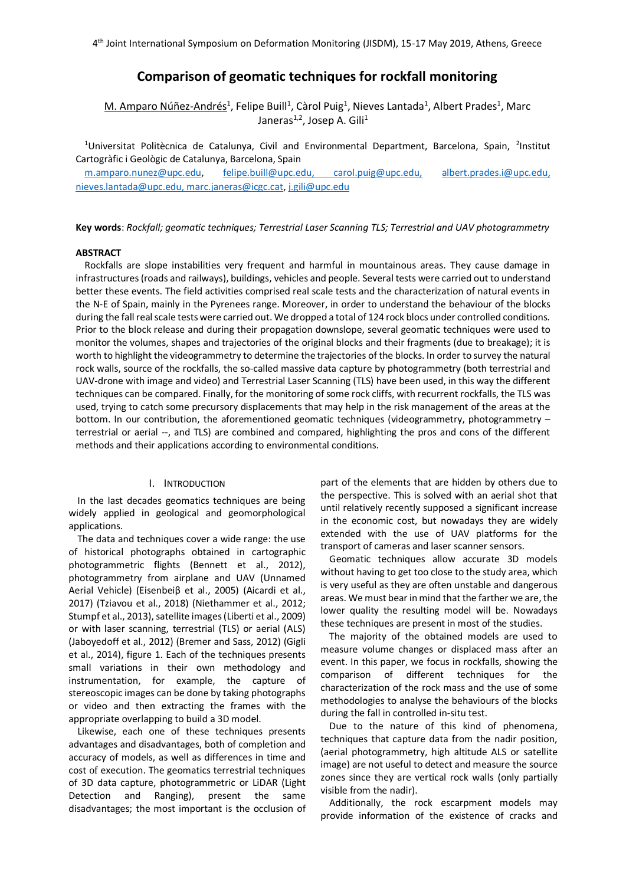# **Comparison of geomatic techniques for rockfall monitoring**

 $M$ . Amparo Núñez-Andrés<sup>1</sup>, Felipe Buill<sup>1</sup>, Càrol Puig<sup>1</sup>, Nieves Lantada<sup>1</sup>, Albert Prades<sup>1</sup>, Marc Janeras<sup>1,2</sup>, Josep A. Gili<sup>1</sup>

<sup>1</sup>Universitat Politècnica de Catalunya, Civil and Environmental Department, Barcelona, Spain, <sup>2</sup>Institut Cartogràfic i Geològic de Catalunya, Barcelona, Spain

[m.amparo.nunez@upc.edu,](mailto:m.amparo.nunez@upc.edu) [felipe.buill@upc.edu,](mailto:felipe.buill@upc.edu) carol.puig@upc.edu, [albert.prades.i@upc.edu,](mailto:albert.prades.i@upc.edu) [nieves.lantada@upc.edu,](mailto:nieves.lantada@upc.edu) marc.janeras@icgc.cat[, j.gili@upc.edu](mailto:j.gili@upc.edu)

**Key words**: *Rockfall; geomatic techniques; Terrestrial Laser Scanning TLS; Terrestrial and UAV photogrammetry*

#### **ABSTRACT**

Rockfalls are slope instabilities very frequent and harmful in mountainous areas. They cause damage in infrastructures (roads and railways), buildings, vehicles and people. Several tests were carried out to understand better these events. The field activities comprised real scale tests and the characterization of natural events in the N-E of Spain, mainly in the Pyrenees range. Moreover, in order to understand the behaviour of the blocks during the fall real scale tests were carried out. We dropped a total of 124 rock blocs under controlled conditions. Prior to the block release and during their propagation downslope, several geomatic techniques were used to monitor the volumes, shapes and trajectories of the original blocks and their fragments (due to breakage); it is worth to highlight the videogrammetry to determine the trajectories of the blocks. In order to survey the natural rock walls, source of the rockfalls, the so-called massive data capture by photogrammetry (both terrestrial and UAV-drone with image and video) and Terrestrial Laser Scanning (TLS) have been used, in this way the different techniques can be compared. Finally, for the monitoring of some rock cliffs, with recurrent rockfalls, the TLS was used, trying to catch some precursory displacements that may help in the risk management of the areas at the bottom. In our contribution, the aforementioned geomatic techniques (videogrammetry, photogrammetry terrestrial or aerial --, and TLS) are combined and compared, highlighting the pros and cons of the different methods and their applications according to environmental conditions.

## I. INTRODUCTION

In the last decades geomatics techniques are being widely applied in geological and geomorphological applications.

The data and techniques cover a wide range: the use of historical photographs obtained in cartographic photogrammetric flights (Bennett et al., 2012), photogrammetry from airplane and UAV (Unnamed Aerial Vehicle) (Eisenbeiβ et al., 2005) (Aicardi et al., 2017) (Tziavou et al., 2018) (Niethammer et al., 2012; Stumpf et al., 2013), satellite images (Liberti et al., 2009) or with laser scanning, terrestrial (TLS) or aerial (ALS) (Jaboyedoff et al., 2012) (Bremer and Sass, 2012) (Gigli et al., 2014), figure 1. Each of the techniques presents small variations in their own methodology and instrumentation, for example, the capture of stereoscopic images can be done by taking photographs or video and then extracting the frames with the appropriate overlapping to build a 3D model.

Likewise, each one of these techniques presents advantages and disadvantages, both of completion and accuracy of models, as well as differences in time and cost of execution. The geomatics terrestrial techniques of 3D data capture, photogrammetric or LiDAR (Light Detection and Ranging), present the same disadvantages; the most important is the occlusion of

part of the elements that are hidden by others due to the perspective. This is solved with an aerial shot that until relatively recently supposed a significant increase in the economic cost, but nowadays they are widely extended with the use of UAV platforms for the transport of cameras and laser scanner sensors.

Geomatic techniques allow accurate 3D models without having to get too close to the study area, which is very useful as they are often unstable and dangerous areas. We must bear in mind that the farther we are, the lower quality the resulting model will be. Nowadays these techniques are present in most of the studies.

The majority of the obtained models are used to measure volume changes or displaced mass after an event. In this paper, we focus in rockfalls, showing the comparison of different techniques for the characterization of the rock mass and the use of some methodologies to analyse the behaviours of the blocks during the fall in controlled in-situ test.

Due to the nature of this kind of phenomena, techniques that capture data from the nadir position, (aerial photogrammetry, high altitude ALS or satellite image) are not useful to detect and measure the source zones since they are vertical rock walls (only partially visible from the nadir).

Additionally, the rock escarpment models may provide information of the existence of cracks and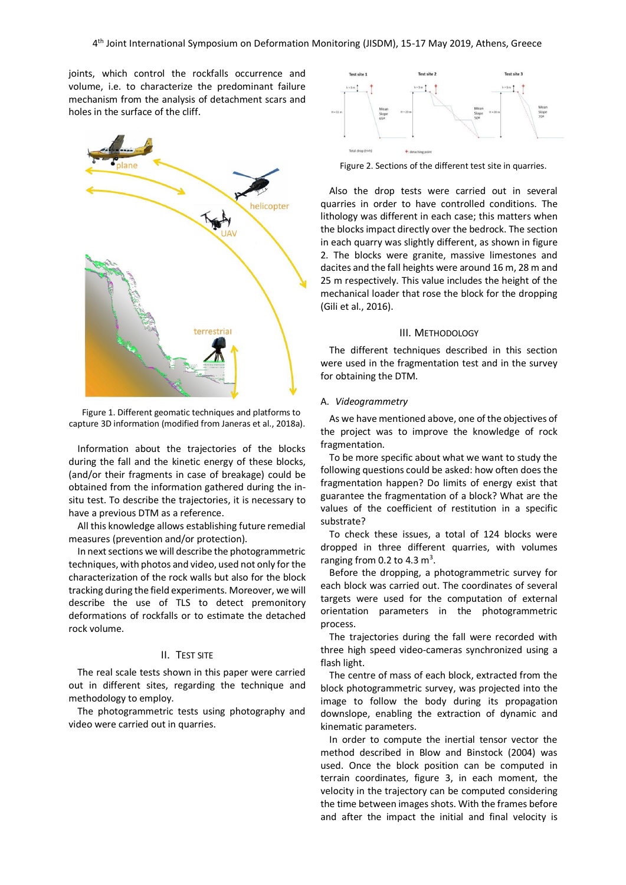joints, which control the rockfalls occurrence and volume, i.e. to characterize the predominant failure mechanism from the analysis of detachment scars and holes in the surface of the cliff.



Figure 1. Different geomatic techniques and platforms to capture 3D information (modified from Janeras et al., 2018a).

Information about the trajectories of the blocks during the fall and the kinetic energy of these blocks, (and/or their fragments in case of breakage) could be obtained from the information gathered during the insitu test. To describe the trajectories, it is necessary to have a previous DTM as a reference.

All this knowledge allows establishing future remedial measures (prevention and/or protection).

In next sections we will describe the photogrammetric techniques, with photos and video, used not only for the characterization of the rock walls but also for the block tracking during the field experiments. Moreover, we will describe the use of TLS to detect premonitory deformations of rockfalls or to estimate the detached rock volume.

### II. TEST SITE

The real scale tests shown in this paper were carried out in different sites, regarding the technique and methodology to employ.

The photogrammetric tests using photography and video were carried out in quarries.



Figure 2. Sections of the different test site in quarries.

Also the drop tests were carried out in several quarries in order to have controlled conditions. The lithology was different in each case; this matters when the blocksimpact directly over the bedrock. The section in each quarry was slightly different, as shown in figure 2. The blocks were granite, massive limestones and dacites and the fall heights were around 16 m, 28 m and 25 m respectively. This value includes the height of the mechanical loader that rose the block for the dropping (Gili et al., 2016).

#### III. METHODOLOGY

The different techniques described in this section were used in the fragmentation test and in the survey for obtaining the DTM.

#### A. *Videogrammetry*

As we have mentioned above, one of the objectives of the project was to improve the knowledge of rock fragmentation.

To be more specific about what we want to study the following questions could be asked: how often does the fragmentation happen? Do limits of energy exist that guarantee the fragmentation of a block? What are the values of the coefficient of restitution in a specific substrate?

To check these issues, a total of 124 blocks were dropped in three different quarries, with volumes ranging from 0.2 to 4.3  $m<sup>3</sup>$ .

Before the dropping, a photogrammetric survey for each block was carried out. The coordinates of several targets were used for the computation of external orientation parameters in the photogrammetric process.

The trajectories during the fall were recorded with three high speed video-cameras synchronized using a flash light.

The centre of mass of each block, extracted from the block photogrammetric survey, was projected into the image to follow the body during its propagation downslope, enabling the extraction of dynamic and kinematic parameters.

In order to compute the inertial tensor vector the method described in Blow and Binstock (2004) was used. Once the block position can be computed in terrain coordinates, figure 3, in each moment, the velocity in the trajectory can be computed considering the time between images shots. With the frames before and after the impact the initial and final velocity is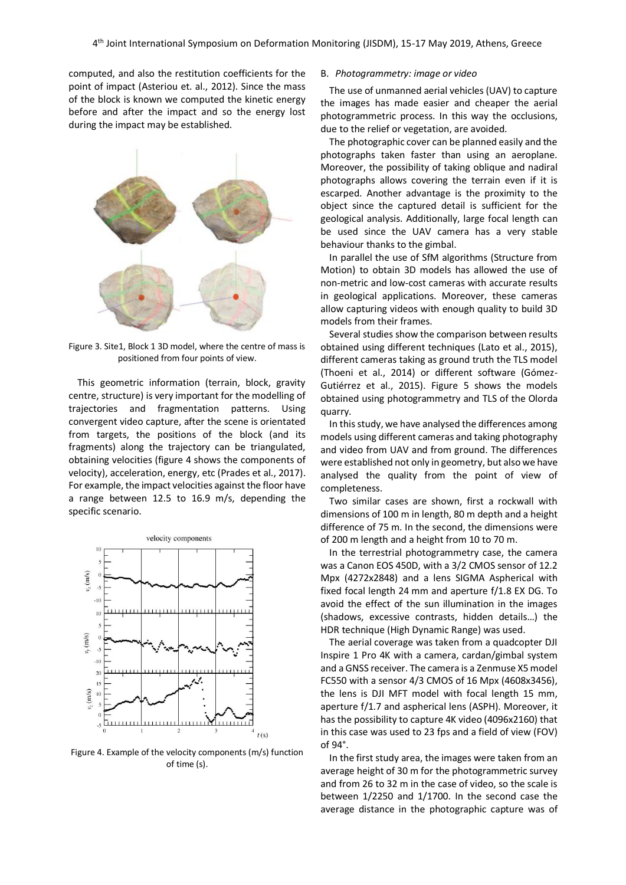computed, and also the restitution coefficients for the point of impact (Asteriou et. al., 2012). Since the mass of the block is known we computed the kinetic energy before and after the impact and so the energy lost during the impact may be established.



Figure 3. Site1, Block 1 3D model, where the centre of mass is positioned from four points of view.

This geometric information (terrain, block, gravity centre, structure) is very important for the modelling of trajectories and fragmentation patterns. Using convergent video capture, after the scene is orientated from targets, the positions of the block (and its fragments) along the trajectory can be triangulated, obtaining velocities (figure 4 shows the components of velocity), acceleration, energy, etc (Prades et al., 2017). For example, the impact velocities against the floor have a range between 12.5 to 16.9 m/s, depending the specific scenario.



Figure 4. Example of the velocity components (m/s) function of time (s).

#### B. *Photogrammetry: image or video*

The use of unmanned aerial vehicles (UAV) to capture the images has made easier and cheaper the aerial photogrammetric process. In this way the occlusions, due to the relief or vegetation, are avoided.

The photographic cover can be planned easily and the photographs taken faster than using an aeroplane. Moreover, the possibility of taking oblique and nadiral photographs allows covering the terrain even if it is escarped. Another advantage is the proximity to the object since the captured detail is sufficient for the geological analysis. Additionally, large focal length can be used since the UAV camera has a very stable behaviour thanks to the gimbal.

In parallel the use of SfM algorithms (Structure from Motion) to obtain 3D models has allowed the use of non-metric and low-cost cameras with accurate results in geological applications. Moreover, these cameras allow capturing videos with enough quality to build 3D models from their frames.

Several studies show the comparison between results obtained using different techniques (Lato et al., 2015), different cameras taking as ground truth the TLS model (Thoeni et al., 2014) or different software (Gómez-Gutiérrez et al., 2015). Figure 5 shows the models obtained using photogrammetry and TLS of the Olorda quarry.

In this study, we have analysed the differences among models using different cameras and taking photography and video from UAV and from ground. The differences were established not only in geometry, but also we have analysed the quality from the point of view of completeness.

Two similar cases are shown, first a rockwall with dimensions of 100 m in length, 80 m depth and a height difference of 75 m. In the second, the dimensions were of 200 m length and a height from 10 to 70 m.

In the terrestrial photogrammetry case, the camera was a Canon EOS 450D, with a 3/2 CMOS sensor of 12.2 Mpx (4272x2848) and a lens SIGMA Aspherical with fixed focal length 24 mm and aperture f/1.8 EX DG. To avoid the effect of the sun illumination in the images (shadows, excessive contrasts, hidden details…) the HDR technique (High Dynamic Range) was used.

The aerial coverage was taken from a quadcopter DJI Inspire 1 Pro 4K with a camera, cardan/gimbal system and a GNSS receiver. The camera is a Zenmuse X5 model FC550 with a sensor 4/3 CMOS of 16 Mpx (4608x3456), the lens is DJI MFT model with focal length 15 mm, aperture f/1.7 and aspherical lens (ASPH). Moreover, it has the possibility to capture 4K video (4096x2160) that in this case was used to 23 fps and a field of view (FOV) of 94°.

In the first study area, the images were taken from an average height of 30 m for the photogrammetric survey and from 26 to 32 m in the case of video, so the scale is between 1/2250 and 1/1700. In the second case the average distance in the photographic capture was of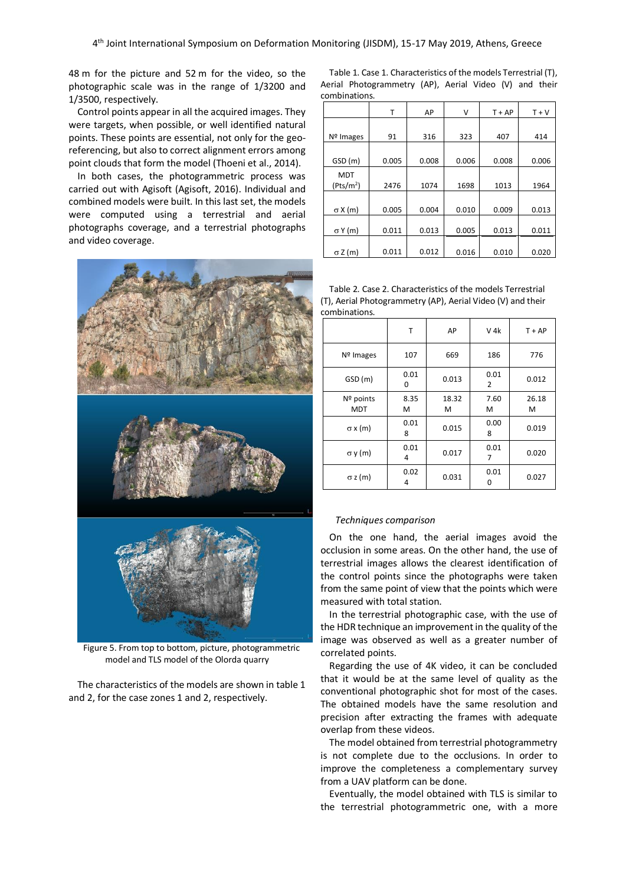48 m for the picture and 52 m for the video, so the photographic scale was in the range of 1/3200 and 1/3500, respectively.

Control points appear in all the acquired images. They were targets, when possible, or well identified natural points. These points are essential, not only for the georeferencing, but also to correct alignment errors among point clouds that form the model (Thoeni et al., 2014).

In both cases, the photogrammetric process was carried out with Agisoft (Agisoft, 2016). Individual and combined models were built. In this last set, the models were computed using a terrestrial and aerial photographs coverage, and a terrestrial photographs and video coverage.



Figure 5. From top to bottom, picture, photogrammetric model and TLS model of the Olorda quarry

The characteristics of the models are shown in table 1 and 2, for the case zones 1 and 2, respectively.

Table 1. Case 1. Characteristics of the models Terrestrial (T), Aerial Photogrammetry (AP), Aerial Video (V) and their combinations.

|                       | Т     | AP    | v     | $T + AP$ | $T + V$ |
|-----------------------|-------|-------|-------|----------|---------|
|                       |       |       |       |          |         |
| $No$ Images           | 91    | 316   | 323   | 407      | 414     |
|                       |       |       |       |          |         |
| GSD (m)               | 0.005 | 0.008 | 0.006 | 0.008    | 0.006   |
| <b>MDT</b>            |       |       |       |          |         |
| (Pts/m <sup>2</sup> ) | 2476  | 1074  | 1698  | 1013     | 1964    |
|                       |       |       |       |          |         |
| $\sigma X(m)$         | 0.005 | 0.004 | 0.010 | 0.009    | 0.013   |
|                       |       |       |       |          |         |
| $\sigma$ Y (m)        | 0.011 | 0.013 | 0.005 | 0.013    | 0.011   |
|                       |       |       |       |          |         |
| $\sigma$ Z (m)        | 0.011 | 0.012 | 0.016 | 0.010    | 0.020   |

Table 2. Case 2. Characteristics of the models Terrestrial (T), Aerial Photogrammetry (AP), Aerial Video (V) and their combinations.

|                         | т         | AP         | V 4k      | $T + AP$   |
|-------------------------|-----------|------------|-----------|------------|
| Nº Images               | 107       | 669        | 186       | 776        |
| GSD (m)                 | 0.01<br>0 | 0.013      | 0.01<br>2 | 0.012      |
| Nº points<br><b>MDT</b> | 8.35<br>M | 18.32<br>м | 7.60<br>м | 26.18<br>M |
| $\sigma x(m)$           | 0.01<br>8 | 0.015      | 0.00<br>8 | 0.019      |
| $\sigma$ y (m)          | 0.01<br>4 | 0.017      | 0.01<br>7 | 0.020      |
| $\sigma$ z (m)          | 0.02<br>4 | 0.031      | 0.01<br>ŋ | 0.027      |

#### *Techniques comparison*

On the one hand, the aerial images avoid the occlusion in some areas. On the other hand, the use of terrestrial images allows the clearest identification of the control points since the photographs were taken from the same point of view that the points which were measured with total station.

In the terrestrial photographic case, with the use of the HDR technique an improvement in the quality of the image was observed as well as a greater number of correlated points.

Regarding the use of 4K video, it can be concluded that it would be at the same level of quality as the conventional photographic shot for most of the cases. The obtained models have the same resolution and precision after extracting the frames with adequate overlap from these videos.

The model obtained from terrestrial photogrammetry is not complete due to the occlusions. In order to improve the completeness a complementary survey from a UAV platform can be done.

Eventually, the model obtained with TLS is similar to the terrestrial photogrammetric one, with a more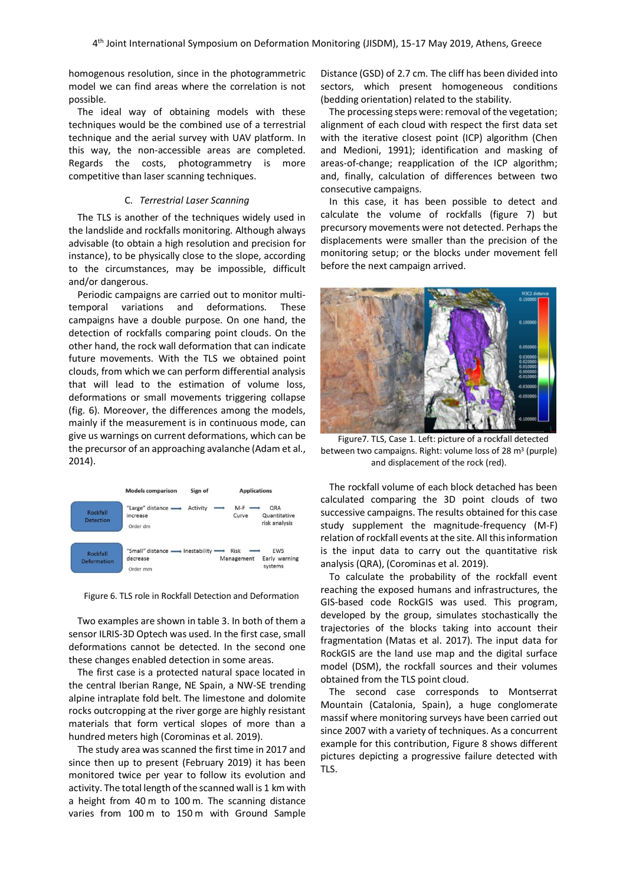homogenous resolution, since in the photogrammetric model we can find areas where the correlation is not possible.

The ideal way of obtaining models with these techniques would be the combined use of a terrestrial technique and the aerial survey with UAV platform. In this way, the non-accessible areas are completed. Regards the costs, photogrammetry is more competitive than laser scanning techniques.

## C. *Terrestrial Laser Scanning*

The TLS is another of the techniques widely used in the landslide and rockfalls monitoring. Although always advisable (to obtain a high resolution and precision for instance), to be physically close to the slope, according to the circumstances, may be impossible, difficult and/or dangerous.

Periodic campaigns are carried out to monitor multitemporal variations and deformations. These campaigns have a double purpose. On one hand, the detection of rockfalls comparing point clouds. On the other hand, the rock wall deformation that can indicate future movements. With the TLS we obtained point clouds, from which we can perform differential analysis that will lead to the estimation of volume loss, deformations or small movements triggering collapse (fig. 6). Moreover, the differences among the models, mainly if the measurement is in continuous mode, can give us warnings on current deformations, which can be the precursor of an approaching avalanche (Adam et al., 2014).



Figure 6. TLS role in Rockfall Detection and Deformation

Two examples are shown in table 3. In both of them a sensor ILRIS-3D Optech was used. In the first case, small deformations cannot be detected. In the second one these changes enabled detection in some areas.

The first case is a protected natural space located in the central Iberian Range, NE Spain, a NW-SE trending alpine intraplate fold belt. The limestone and dolomite rocks outcropping at the river gorge are highly resistant materials that form vertical slopes of more than a hundred meters high (Corominas et al. 2019).

The study area was scanned the first time in 2017 and since then up to present (February 2019) it has been monitored twice per year to follow its evolution and activity. The total length of the scanned wall is 1 km with a height from 40 m to 100 m. The scanning distance varies from 100 m to 150 m with Ground Sample Distance (GSD) of 2.7 cm. The cliff has been divided into sectors, which present homogeneous conditions (bedding orientation) related to the stability.

The processing steps were: removal of the vegetation; alignment of each cloud with respect the first data set with the iterative closest point (ICP) algorithm (Chen and Medioni, 1991); identification and masking of areas-of-change; reapplication of the ICP algorithm; and, finally, calculation of differences between two consecutive campaigns.

In this case, it has been possible to detect and calculate the volume of rockfalls (figure 7) but precursory movements were not detected. Perhaps the displacements were smaller than the precision of the monitoring setup; or the blocks under movement fell before the next campaign arrived.



Figure7. TLS, Case 1. Left: picture of a rockfall detected between two campaigns. Right: volume loss of 28 m<sup>3</sup> (purple) and displacement of the rock (red).

The rockfall volume of each block detached has been calculated comparing the 3D point clouds of two successive campaigns. The results obtained for this case study supplement the magnitude-frequency (M-F) relation of rockfall events at the site. All this information is the input data to carry out the quantitative risk analysis (QRA), (Corominas et al. 2019).

To calculate the probability of the rockfall event reaching the exposed humans and infrastructures, the GIS-based code RockGIS was used. This program, developed by the group, simulates stochastically the trajectories of the blocks taking into account their fragmentation (Matas et al. 2017). The input data for RockGIS are the land use map and the digital surface model (DSM), the rockfall sources and their volumes obtained from the TLS point cloud.

The second case corresponds to Montserrat Mountain (Catalonia, Spain), a huge conglomerate massif where monitoring surveys have been carried out since 2007 with a variety of techniques. As a concurrent example for this contribution, Figure 8 shows different pictures depicting a progressive failure detected with TLS.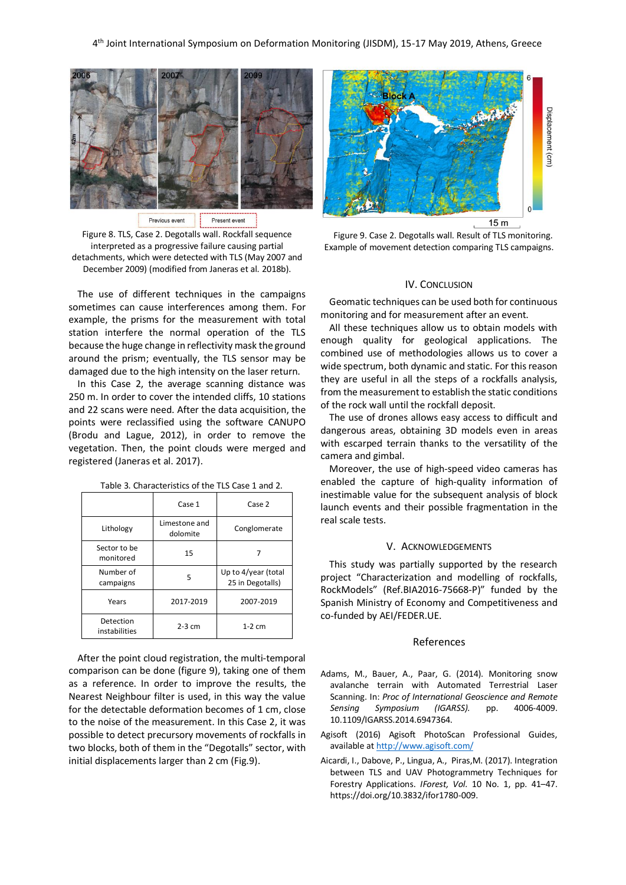

Present event Previous event

Figure 8. TLS, Case 2. Degotalls wall. Rockfall sequence interpreted as a progressive failure causing partial detachments, which were detected with TLS (May 2007 and December 2009) (modified from Janeras et al. 2018b).

The use of different techniques in the campaigns sometimes can cause interferences among them. For example, the prisms for the measurement with total station interfere the normal operation of the TLS because the huge change in reflectivity mask the ground around the prism; eventually, the TLS sensor may be damaged due to the high intensity on the laser return.

In this Case 2, the average scanning distance was 250 m. In order to cover the intended cliffs, 10 stations and 22 scans were need. After the data acquisition, the points were reclassified using the software CANUPO (Brodu and Lague, 2012), in order to remove the vegetation. Then, the point clouds were merged and registered (Janeras et al. 2017).

|                            | Case 1                    | Case 2                                  |  |
|----------------------------|---------------------------|-----------------------------------------|--|
| Lithology                  | Limestone and<br>dolomite | Conglomerate                            |  |
| Sector to be<br>monitored  | 15                        |                                         |  |
| Number of<br>campaigns     | 5                         | Up to 4/year (total<br>25 in Degotalls) |  |
| Years                      | 2017-2019                 | 2007-2019                               |  |
| Detection<br>instabilities | $2-3$ cm                  | $1-2$ cm                                |  |

Table 3. Characteristics of the TLS Case 1 and 2.

After the point cloud registration, the multi-temporal comparison can be done (figure 9), taking one of them as a reference. In order to improve the results, the Nearest Neighbour filter is used, in this way the value for the detectable deformation becomes of 1 cm, close to the noise of the measurement. In this Case 2, it was possible to detect precursory movements of rockfalls in two blocks, both of them in the "Degotalls" sector, with initial displacements larger than 2 cm (Fig.9).



Figure 9. Case 2. Degotalls wall. Result of TLS monitoring. Example of movement detection comparing TLS campaigns.

#### IV. CONCLUSION

Geomatic techniques can be used both for continuous monitoring and for measurement after an event.

All these techniques allow us to obtain models with enough quality for geological applications. The combined use of methodologies allows us to cover a wide spectrum, both dynamic and static. For this reason they are useful in all the steps of a rockfalls analysis, from the measurement to establish the static conditions of the rock wall until the rockfall deposit.

The use of drones allows easy access to difficult and dangerous areas, obtaining 3D models even in areas with escarped terrain thanks to the versatility of the camera and gimbal.

Moreover, the use of high-speed video cameras has enabled the capture of high-quality information of inestimable value for the subsequent analysis of block launch events and their possible fragmentation in the real scale tests.

#### V. ACKNOWLEDGEMENTS

This study was partially supported by the research project "Characterization and modelling of rockfalls, RockModels" (Ref.BIA2016-75668-P)" funded by the Spanish Ministry of Economy and Competitiveness and co-funded by AEI/FEDER.UE.

## References

- Adams, M., Bauer, A., Paar, G. (2014). Monitoring snow avalanche terrain with Automated Terrestrial Laser Scanning. In: *Proc of International Geoscience and Remote Sensing Symposium (IGARSS).* pp. 4006-4009. 10.1109/IGARSS.2014.6947364.
- Agisoft (2016) Agisoft PhotoScan Professional Guides, available a[t http://www.agisoft.com/](http://www.agisoft.com/)
- Aicardi, I., Dabove, P., Lingua, A., Piras,M. (2017). Integration between TLS and UAV Photogrammetry Techniques for Forestry Applications. *IForest, Vol.* 10 No. 1, pp. 41–47. https://doi.org/10.3832/ifor1780-009.